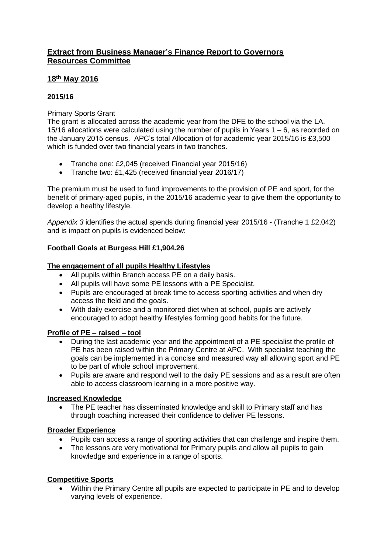## **Extract from Business Manager's Finance Report to Governors Resources Committee**

## **18th May 2016**

## **2015/16**

### Primary Sports Grant

The grant is allocated across the academic year from the DFE to the school via the LA. 15/16 allocations were calculated using the number of pupils in Years 1 – 6, as recorded on the January 2015 census. APC's total Allocation of for academic year 2015/16 is £3,500 which is funded over two financial years in two tranches.

- Tranche one: £2,045 (received Financial year 2015/16)
- Tranche two: £1,425 (received financial year 2016/17)

The premium must be used to fund improvements to the provision of PE and sport, for the benefit of primary-aged pupils, in the 2015/16 academic year to give them the opportunity to develop a healthy lifestyle.

*Appendix 3* identifies the actual spends during financial year 2015/16 - (Tranche 1 £2,042) and is impact on pupils is evidenced below:

## **Football Goals at Burgess Hill £1,904.26**

## **The engagement of all pupils Healthy Lifestyles**

- All pupils within Branch access PE on a daily basis.
- All pupils will have some PE lessons with a PE Specialist.
- Pupils are encouraged at break time to access sporting activities and when dry access the field and the goals.
- With daily exercise and a monitored diet when at school, pupils are actively encouraged to adopt healthy lifestyles forming good habits for the future.

#### **Profile of PE – raised – tool**

- During the last academic year and the appointment of a PE specialist the profile of PE has been raised within the Primary Centre at APC. With specialist teaching the goals can be implemented in a concise and measured way all allowing sport and PE to be part of whole school improvement.
- Pupils are aware and respond well to the daily PE sessions and as a result are often able to access classroom learning in a more positive way.

#### **Increased Knowledge**

 The PE teacher has disseminated knowledge and skill to Primary staff and has through coaching increased their confidence to deliver PE lessons.

#### **Broader Experience**

- Pupils can access a range of sporting activities that can challenge and inspire them.
- The lessons are very motivational for Primary pupils and allow all pupils to gain knowledge and experience in a range of sports.

#### **Competitive Sports**

 Within the Primary Centre all pupils are expected to participate in PE and to develop varying levels of experience.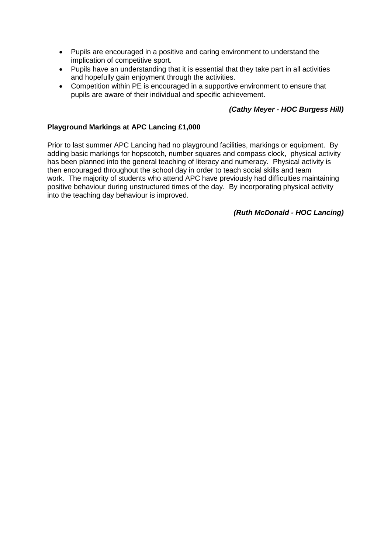- Pupils are encouraged in a positive and caring environment to understand the implication of competitive sport.
- Pupils have an understanding that it is essential that they take part in all activities and hopefully gain enjoyment through the activities.
- Competition within PE is encouraged in a supportive environment to ensure that pupils are aware of their individual and specific achievement.

## *(Cathy Meyer - HOC Burgess Hill)*

### **Playground Markings at APC Lancing £1,000**

Prior to last summer APC Lancing had no playground facilities, markings or equipment. By adding basic markings for hopscotch, number squares and compass clock, physical activity has been planned into the general teaching of literacy and numeracy. Physical activity is then encouraged throughout the school day in order to teach social skills and team work. The majority of students who attend APC have previously had difficulties maintaining positive behaviour during unstructured times of the day. By incorporating physical activity into the teaching day behaviour is improved.

#### *(Ruth McDonald - HOC Lancing)*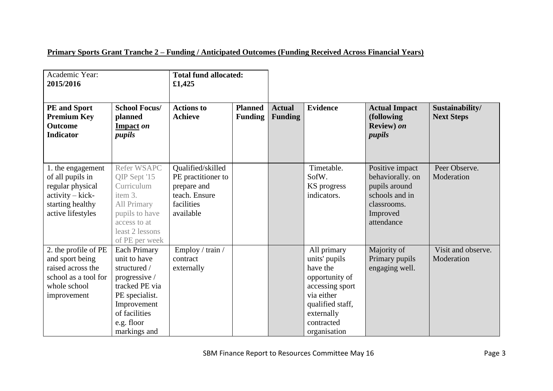# **Primary Sports Grant Tranche 2 – Funding / Anticipated Outcomes (Funding Received Across Financial Years)**

| Academic Year:<br>2015/2016                                                                                            |                                                                                                                                                                 | <b>Total fund allocated:</b><br>£1,425                                                             |                                  |                                 |                                                                                                                                                             |                                                                                                                 |                                      |
|------------------------------------------------------------------------------------------------------------------------|-----------------------------------------------------------------------------------------------------------------------------------------------------------------|----------------------------------------------------------------------------------------------------|----------------------------------|---------------------------------|-------------------------------------------------------------------------------------------------------------------------------------------------------------|-----------------------------------------------------------------------------------------------------------------|--------------------------------------|
| <b>PE</b> and Sport<br><b>Premium Key</b><br><b>Outcome</b><br><b>Indicator</b>                                        | <b>School Focus/</b><br>planned<br>Impact on<br>pupils                                                                                                          | <b>Actions to</b><br><b>Achieve</b>                                                                | <b>Planned</b><br><b>Funding</b> | <b>Actual</b><br><b>Funding</b> | <b>Evidence</b>                                                                                                                                             | <b>Actual Impact</b><br>(following<br>Review) on<br><i>pupils</i>                                               | Sustainability/<br><b>Next Steps</b> |
| 1. the engagement<br>of all pupils in<br>regular physical<br>activity - kick-<br>starting healthy<br>active lifestyles | <b>Refer WSAPC</b><br>QIP Sept '15<br>Curriculum<br>item 3.<br>All Primary<br>pupils to have<br>access to at<br>least 2 lessons<br>of PE per week               | Qualified/skilled<br>PE practitioner to<br>prepare and<br>teach. Ensure<br>facilities<br>available |                                  |                                 | Timetable.<br>SofW.<br>KS progress<br>indicators.                                                                                                           | Positive impact<br>behaviorally. on<br>pupils around<br>schools and in<br>classrooms.<br>Improved<br>attendance | Peer Observe.<br>Moderation          |
| 2. the profile of PE<br>and sport being<br>raised across the<br>school as a tool for<br>whole school<br>improvement    | Each Primary<br>unit to have<br>structured /<br>progressive /<br>tracked PE via<br>PE specialist.<br>Improvement<br>of facilities<br>e.g. floor<br>markings and | Employ / train /<br>contract<br>externally                                                         |                                  |                                 | All primary<br>units' pupils<br>have the<br>opportunity of<br>accessing sport<br>via either<br>qualified staff,<br>externally<br>contracted<br>organisation | Majority of<br>Primary pupils<br>engaging well.                                                                 | Visit and observe.<br>Moderation     |